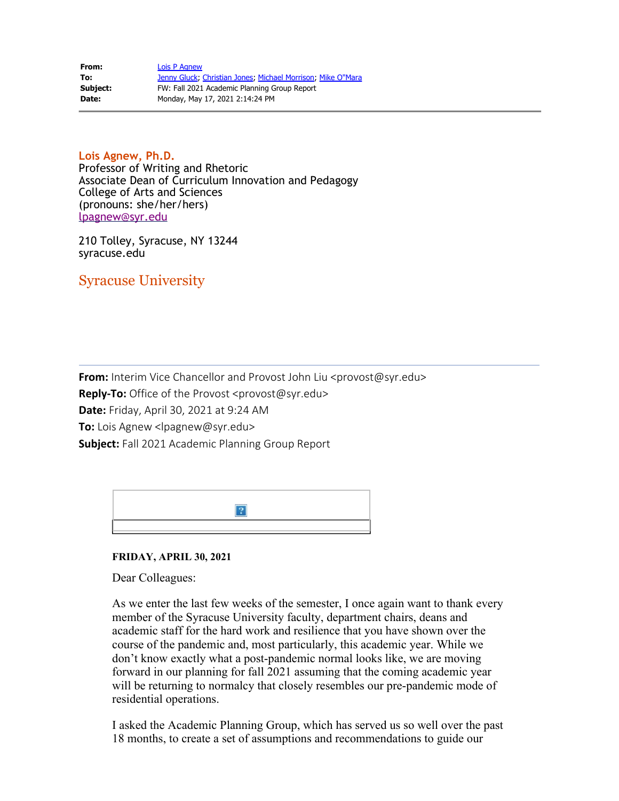| From:    | Lois P Agnew                                                |
|----------|-------------------------------------------------------------|
| To:      | Jenny Gluck: Christian Jones: Michael Morrison: Mike O"Mara |
| Subject: | FW: Fall 2021 Academic Planning Group Report                |
| Date:    | Monday, May 17, 2021 2:14:24 PM                             |

**Lois Agnew, Ph.D.** Professor of Writing and Rhetoric Associate Dean of Curriculum Innovation and Pedagogy College of Arts and Sciences (pronouns: she/her/hers) [lpagnew@syr.edu](mailto:lpagnew@syr.edu)

210 Tolley, Syracuse, NY 13244 syracuse.edu

Syracuse University

**From:** Interim Vice Chancellor and Provost John Liu <provost@syr.edu> Reply-To: Office of the Provost <provost@syr.edu> **Date:** Friday, April 30, 2021 at 9:24 AM **To:** Lois Agnew <lpagnew@syr.edu> **Subject:** Fall 2021 Academic Planning Group Report

| o |
|---|
|   |

**FRIDAY, APRIL 30, 2021**

Dear Colleagues:

As we enter the last few weeks of the semester, I once again want to thank every member of the Syracuse University faculty, department chairs, deans and academic staff for the hard work and resilience that you have shown over the course of the pandemic and, most particularly, this academic year. While we don't know exactly what a post-pandemic normal looks like, we are moving forward in our planning for fall 2021 assuming that the coming academic year will be returning to normalcy that closely resembles our pre-pandemic mode of residential operations.

I asked the Academic Planning Group, which has served us so well over the past 18 months, to create a set of assumptions and recommendations to guide our